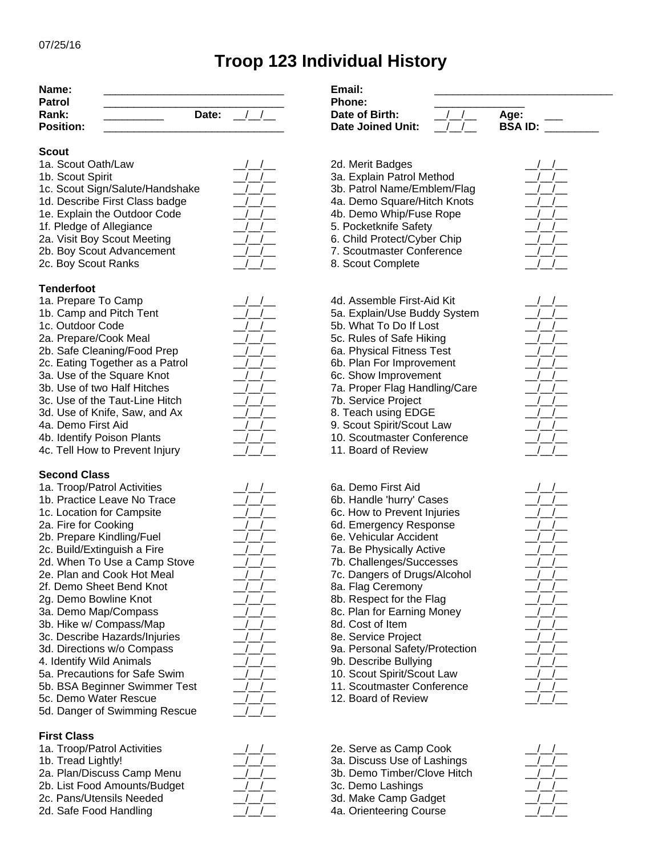# **Troop 123 Individual History**

| Name:            |              | Email:            |                                 |
|------------------|--------------|-------------------|---------------------------------|
| Patrol           |              | <b>Phone:</b>     |                                 |
| Rank:            | <b>Date:</b> | Date of Birth:    | Age:<br>the control of the con- |
| <b>Position:</b> |              | Date Joined Unit: | <b>BSA ID:</b>                  |

### **Scout**

- 1b. Scout Spirit  $\frac{1}{2}$   $\frac{1}{2}$  3a. Explain Patrol Method
- 1c. Scout Sign/Salute/Handshake \_\_/\_\_/\_\_ 3b. Patrol Name/Emblem/Flag \_\_/\_\_/\_\_
- 
- 1f. Pledge of Allegiance \_\_/\_\_/\_\_ 5. Pocketknife Safety \_\_/\_\_/\_\_
- 2a. Visit Boy Scout Meeting The Music Constant of the G. Child Protect/Cyber Chip
- 2b. Boy Scout Advancement  $\frac{1}{2}$   $\frac{1}{2}$  7. Scoutmaster Conference
- 2c. Boy Scout Ranks  $\begin{array}{ccc} & / & / & \qquad \qquad 8. \text{Scout Complete} \end{array}$

### **Tenderfoot**

- 
- 
- 
- 
- 2b. Safe Cleaning/Food Prep 20. 2b. Safe Cleaning/Food Prep 20. 2b. Safe Cleaning
- 
- 
- 
- 3d. Use of Knife, Saw, and Ax  $\frac{1}{1-\frac{1}{2}}$  8. Teach using EDGE
- 
- 
- 4c. Tell How to Prevent Injury  $\frac{1}{2}$  11. Board of Review

## **Second Class**

- 1a. Troop/Patrol Activities \_\_/\_\_/\_\_ 6a. Demo First Aid \_\_/\_\_/\_\_ 1b. Practice Leave No Trace  $\frac{1}{\sqrt{2}}$  6b. Handle 'hurry' Cases 2b. Prepare Kindling/Fuel  $\frac{1}{2}$   $\frac{1}{2}$  6e. Vehicular Accident
- 
- 
- 2f. Demo Sheet Bend Knot  $\frac{1}{2}$  8a. Flag Ceremony
- 
- 
- 3b. Hike w/ Compass/Map  $\frac{1}{\sqrt{2}}$  8d. Cost of Item
- 3c. Describe Hazards/Injuries \_\_/\_\_/\_\_ 8e. Service Project \_\_/\_\_/\_\_
- 
- 4. Identify Wild Animals **Animals** Animal **Animals** Animal Bullying **Properties Bullying Animal** Bullying **Animal**
- 
- 
- 5d. Danger of Swimming Rescue

## **First Class**

- 1a. Troop/Patrol Activities  $\frac{1}{\sqrt{2}}$  2e. Serve as Camp Cook
- 
- 
- 2b. List Food Amounts/Budget  $\frac{1}{2}$  /  $\frac{1}{2}$  3c. Demo Lashings 2c. Pans/Utensils Needed  $\frac{1}{2}$  /  $\frac{1}{2}$  3d. Make Camp Gadget
- 

| $\sqrt{2}$       | $\sqrt{ }$               |  |
|------------------|--------------------------|--|
| Γ.<br>$\sqrt{2}$ |                          |  |
| $\sqrt{2}$       | $\overline{\phantom{a}}$ |  |
| $\sqrt{ }$       | $\sqrt{ }$<br>t,         |  |
| $\sqrt{2}$       | $\overline{\phantom{a}}$ |  |
| Γ.               |                          |  |
|                  |                          |  |
|                  |                          |  |
|                  |                          |  |

| $\left  \begin{array}{c} \end{array} \right $  |
|------------------------------------------------|
| $\left  \begin{array}{c} \end{array} \right $  |
| $\left  \begin{array}{c} \end{array} \right $  |
| $\left  \begin{array}{cc} \end{array} \right $ |
| $\left  \begin{array}{c} \end{array} \right $  |
| $\sqrt{2}$                                     |
| $\frac{1}{2}$                                  |
| $\left  \begin{array}{c} \end{array} \right $  |
| $\frac{1}{2}$                                  |
| $\overline{1}$<br>$\sqrt{2}$                   |
| $\iota$                                        |
|                                                |
|                                                |

| ļ                        |            |
|--------------------------|------------|
| Į.                       | L          |
| ∕_                       | /          |
| 7                        | $\sqrt{2}$ |
| $\overline{\mathcal{L}}$ | $\sqrt{2}$ |
| ⊥/                       | $\int$     |
| $\frac{1}{2}$            | 7          |
| $\frac{1}{2}$            | $\sqrt{2}$ |
| ⊥/                       | ∫_         |
| ∫_                       | ∫_         |
| ∫_                       | J.         |
| <u>/</u>                 | ⊥/_        |
| <u>/</u>                 | ⊥/_        |
| <u>/</u>                 | J.         |
| I_                       | L          |
| /_                       | T          |
| /_                       | T          |
| <u>/</u>                 | $\prime$   |
| $\frac{1}{2}$            | T          |
|                          |            |





- 1d. Describe First Class badge \_\_/\_\_/\_\_ 4a. Demo Square/Hitch Knots \_\_/\_\_/\_\_
- 1e. Explain the Outdoor Code \_\_/\_\_/\_\_ 4b. Demo Whip/Fuse Rope \_\_/\_\_/\_\_
	-
	-
	-
- 1a. Prepare To Camp  $\frac{1}{4}$  /  $\frac{4d}{1}$  Assemble First-Aid Kit 1b. Camp and Pitch Tent  $\frac{1}{2}$  /  $\frac{1}{2}$  5a. Explain/Use Buddy System 1c. Outdoor Code \_\_/\_\_/\_\_ 5b. What To Do If Lost \_\_/\_\_/\_\_ 2a. Prepare/Cook Meal  $\frac{1}{\sqrt{2}}$  5c. Rules of Safe Hiking 2c. Eating Together as a Patrol  $\frac{1}{2}$  6b. Plan For Improvement 3a. Use of the Square Knot **All Accords**  $\frac{1}{2}$  /  $\frac{1}{2}$  6c. Show Improvement 3b. Use of two Half Hitches  $\frac{1}{2}$  /  $\frac{1}{2}$  7a. Proper Flag Handling/Care 3c. Use of the Taut-Line Hitch  $\frac{1}{2}$  /  $\frac{1}{2}$  7b. Service Project 4a. Demo First Aid  $\frac{1}{2}$  9. Scout Spirit/Scout Law 4b. Identify Poison Plants \_\_/\_\_/\_\_ 10. Scoutmaster Conference \_\_/\_\_/\_\_
- 1c. Location for Campsite  $\frac{1}{\sqrt{2}}$  6c. How to Prevent Injuries 2a. Fire for Cooking The Cooking the Cooking term of the Cooking term of the Cooking term of the Cooking term o 2c. Build/Extinguish a Fire  $\frac{1}{2}$   $\frac{1}{2}$  7a. Be Physically Active 2d. When To Use a Camp Stove  $\frac{1}{2}$  /  $\frac{1}{2}$  7b. Challenges/Successes 2e. Plan and Cook Hot Meal  $\frac{1}{2}$   $\frac{1}{2}$  7c. Dangers of Drugs/Alcohol 2g. Demo Bowline Knot  $\frac{1}{2}$  /  $\frac{1}{2}$  8b. Respect for the Flag 3a. Demo Map/Compass  $\frac{1}{\sqrt{2}}$  8c. Plan for Earning Money 3d. Directions w/o Compass  $\frac{1}{2}$  /  $\frac{1}{2}$  9a. Personal Safety/Protection 5a. Precautions for Safe Swim  $\frac{1}{2}$  /  $\frac{1}{2}$  10. Scout Spirit/Scout Law 5b. BSA Beginner Swimmer Test  $\frac{1}{2}$  /  $\frac{1}{2}$  11. Scoutmaster Conference
- 5c. Demo Water Rescue  $\frac{1}{2}$  /  $\frac{1}{2}$  12. Board of Review
- 1b. Tread Lightly!  $\frac{1}{2}$   $\frac{1}{2}$  3a. Discuss Use of Lashings 2a. Plan/Discuss Camp Menu  $\frac{1}{2}$   $\frac{1}{2}$  3b. Demo Timber/Clove Hitch
	-
- 2d. Safe Food Handling  $\frac{1}{2}$  4a. Orienteering Course



| ν. |    |
|----|----|
| L  | ,  |
| r. | r. |
|    |    |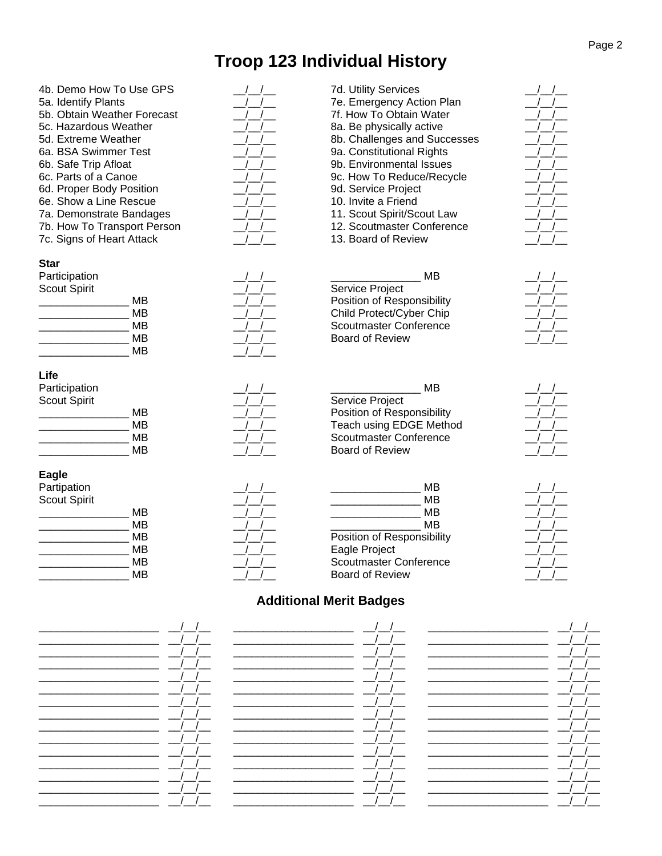# **Troop 123 Individual History**

4b. Demo How To Use GPS \_\_/\_\_/\_\_ 7d. Utility Services \_\_/\_\_/\_\_ 5a. Identify Plants  $\underline{\hspace{1cm}}$   $\underline{\hspace{1cm}}$   $\underline{\hspace{1cm}}$  7e. Emergency Action Plan 5b. Obtain Weather Forecast  $\underline{\hspace{1cm}}$  /  $\underline{\hspace{1cm}}$  7f. How To Obtain Water 5b. Obtain Weather Forecast<br>5c. Hazardous Weather 8a. Be physically active 5d. Extreme Weather \_\_/\_\_/\_\_ 8b. Challenges and Successes \_\_/\_\_/\_\_ 6a. BSA Swimmer Test  $\frac{1}{2}$  /  $\frac{1}{2}$  9a. Constitutional Rights 6b. Safe Trip Afloat  $\begin{array}{ccc} & / & / & \end{array}$  9b. Environmental Issues 6c. Parts of a Canoe  $\frac{1}{2}$   $\frac{1}{2}$  9c. How To Reduce/Recycle 6d. Proper Body Position  $\frac{1}{2}$  9d. Service Project 6e. Show a Line Rescue  $\frac{1}{\sqrt{1-\frac{1}{2}}}$  10. Invite a Friend 7a. Demonstrate Bandages \_\_/\_\_/\_\_ 11. Scout Spirit/Scout Law \_\_/\_\_/\_\_ 7b. How To Transport Person  $\frac{1}{1}$  12. Scoutmaster Conference 2017<br>
7c. Signs of Heart Attack  $\frac{1}{1}$  13. Board of Review 7c. Signs of Heart Attack **Star** Participation  $\overline{a}$  MB Scout Spirit  $\frac{1}{\sqrt{2}}$  Service Project MB  $\frac{1}{\sqrt{2}}$  Position of Responsibility MB  $\frac{1}{\sqrt{2}}$  Child Protect/Cyber Chip MB  $_1/_{_1}/_{_2}$  Scoutmaster Conference<br>MB  $_1/_{_1}/_{_2}$  Board of Review Board of Review  $\blacksquare$  MB **Life**

# Participation  $\overline{a}$  and  $\overline{a}$  articipation  $\overline{a}$  and  $\overline{a}$  are  $\overline{a}$  and  $\overline{a}$  and  $\overline{a}$  are  $\overline{a}$  and  $\overline{a}$  are  $\overline{a}$  and  $\overline{a}$  are  $\overline{a}$  and  $\overline{a}$  are  $\overline{a}$  and  $\overline{a}$  are  $\overline$

**Eagle**

| Participation       | MВ                         |  |
|---------------------|----------------------------|--|
| <b>Scout Spirit</b> | Service Project            |  |
| ΜВ                  | Position of Responsibility |  |
| ΜВ                  | Teach using EDGE Method    |  |
| ΜВ                  | Scoutmaster Conference     |  |
| ΜВ                  | <b>Board of Review</b>     |  |
|                     |                            |  |

| Partipation  |    | ΜВ                            |  |
|--------------|----|-------------------------------|--|
|              |    |                               |  |
| Scout Spirit |    | ΜВ                            |  |
|              | ΜВ | MВ                            |  |
|              | ΜВ | ΜВ                            |  |
|              | ΜВ | Position of Responsibility    |  |
|              | ΜВ | Eagle Project                 |  |
|              | ΜВ | <b>Scoutmaster Conference</b> |  |
|              | ΜВ | Board of Review               |  |

# **Additional Merit Badges**

# \_\_\_\_\_\_\_\_\_\_\_\_\_\_\_ MB \_\_/\_\_/\_\_ Position of Responsibility \_\_/\_\_/\_\_ \_\_\_\_\_\_\_\_\_\_\_\_\_\_\_\_\_\_\_\_\_\_\_MB \_\_*\_\_\_/\_\_\_/*\_\_\_ Teach using EDGE Method \_\_*\_\_/\_\_/*\_\_ \_\_\_\_\_\_\_\_\_\_\_\_\_\_\_\_\_\_\_\_\_MB \_\_*\_\_\_/\_\_\_/*\_\_\_ Scoutmaster Conference \_\_*\_\_/\_\_/*\_\_

|                            | ΜВ |
|----------------------------|----|
|                            | MВ |
|                            | MВ |
|                            | MВ |
| Position of Responsibility |    |
| Eagle Project              |    |
| Scoutmaster Conference     |    |
| <b>Board of Review</b>     |    |
|                            |    |

\_\_\_\_\_\_\_\_\_\_\_\_\_\_\_\_\_\_\_\_ \_\_/\_\_/\_\_ \_\_\_\_\_\_\_\_\_\_\_\_\_\_\_\_\_\_\_\_ \_\_/\_\_/\_\_ \_\_\_\_\_\_\_\_\_\_\_\_\_\_\_\_\_\_\_\_ \_\_/\_\_/\_\_ \_\_\_\_\_\_\_\_\_\_\_\_\_\_\_\_\_\_\_\_ \_\_/\_\_/\_\_ \_\_\_\_\_\_\_\_\_\_\_\_\_\_\_\_\_\_\_\_ \_\_/\_\_/\_\_ \_\_\_\_\_\_\_\_\_\_\_\_\_\_\_\_\_\_\_\_ \_\_/\_\_/\_\_ \_\_\_\_\_\_\_\_\_\_\_\_\_\_\_\_\_\_\_\_ \_\_/\_\_/\_\_ \_\_\_\_\_\_\_\_\_\_\_\_\_\_\_\_\_\_\_\_ \_\_/\_\_/\_\_ \_\_\_\_\_\_\_\_\_\_\_\_\_\_\_\_\_\_\_\_ \_\_/\_\_/\_\_ \_\_\_\_\_\_\_\_\_\_\_\_\_\_\_\_\_\_\_\_ \_\_/\_\_/\_\_ \_\_\_\_\_\_\_\_\_\_\_\_\_\_\_\_\_\_\_\_ \_\_/\_\_/\_\_ \_\_\_\_\_\_\_\_\_\_\_\_\_\_\_\_\_\_\_\_ \_\_/\_\_/\_\_ \_\_\_\_\_\_\_\_\_\_\_\_\_\_\_\_\_\_\_\_ \_\_/\_\_/\_\_ \_\_\_\_\_\_\_\_\_\_\_\_\_\_\_\_\_\_\_\_ \_\_/\_\_/\_\_ \_\_\_\_\_\_\_\_\_\_\_\_\_\_\_\_\_\_\_\_ \_\_/\_\_/\_\_ \_\_\_\_\_\_\_\_\_\_\_\_\_\_\_\_\_\_\_\_ \_\_/\_\_/\_\_ \_\_\_\_\_\_\_\_\_\_\_\_\_\_\_\_\_\_\_\_ \_\_/\_\_/\_\_ \_\_\_\_\_\_\_\_\_\_\_\_\_\_\_\_\_\_\_\_ \_\_/\_\_/\_\_ \_\_\_\_\_\_\_\_\_\_\_\_\_\_\_\_\_\_\_\_ \_\_/\_\_/\_\_ \_\_\_\_\_\_\_\_\_\_\_\_\_\_\_\_\_\_\_\_ \_\_/\_\_/\_\_ \_\_\_\_\_\_\_\_\_\_\_\_\_\_\_\_\_\_\_\_ \_\_/\_\_/\_\_